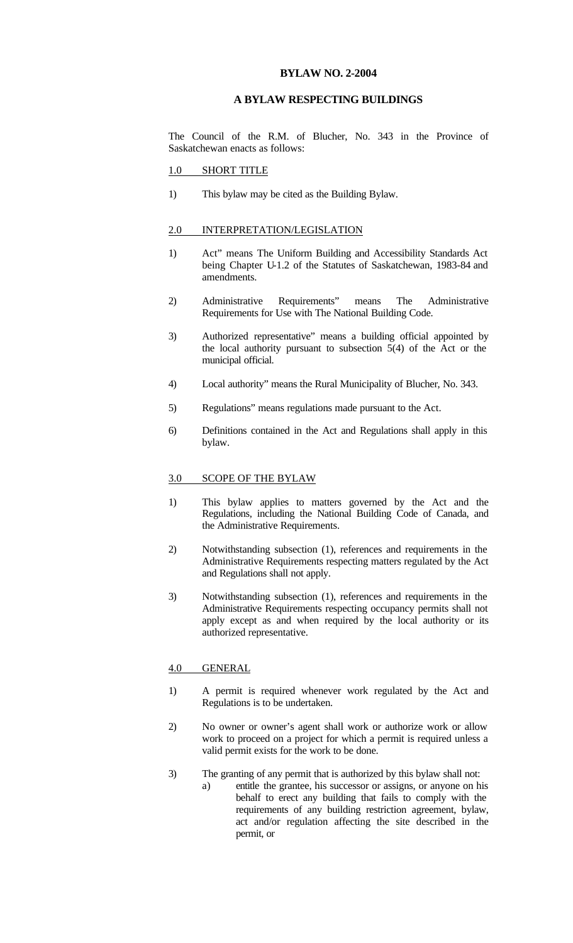## **BYLAW NO. 2-2004**

# **A BYLAW RESPECTING BUILDINGS**

The Council of the R.M. of Blucher, No. 343 in the Province of Saskatchewan enacts as follows:

#### 1.0 SHORT TITLE

1) This bylaw may be cited as the Building Bylaw.

#### 2.0 INTERPRETATION/LEGISLATION

- 1) Act" means The Uniform Building and Accessibility Standards Act being Chapter U-1.2 of the Statutes of Saskatchewan, 1983-84 and amendments.
- 2) Administrative Requirements" means The Administrative Requirements for Use with The National Building Code.
- 3) Authorized representative" means a building official appointed by the local authority pursuant to subsection 5(4) of the Act or the municipal official.
- 4) Local authority" means the Rural Municipality of Blucher, No. 343.
- 5) Regulations" means regulations made pursuant to the Act.
- 6) Definitions contained in the Act and Regulations shall apply in this bylaw.

## 3.0 SCOPE OF THE BYLAW

- 1) This bylaw applies to matters governed by the Act and the Regulations, including the National Building Code of Canada, and the Administrative Requirements.
- 2) Notwithstanding subsection (1), references and requirements in the Administrative Requirements respecting matters regulated by the Act and Regulations shall not apply.
- 3) Notwithstanding subsection (1), references and requirements in the Administrative Requirements respecting occupancy permits shall not apply except as and when required by the local authority or its authorized representative.

#### 4.0 GENERAL

- 1) A permit is required whenever work regulated by the Act and Regulations is to be undertaken.
- 2) No owner or owner's agent shall work or authorize work or allow work to proceed on a project for which a permit is required unless a valid permit exists for the work to be done.
- 3) The granting of any permit that is authorized by this bylaw shall not:
	- a) entitle the grantee, his successor or assigns, or anyone on his behalf to erect any building that fails to comply with the requirements of any building restriction agreement, bylaw, act and/or regulation affecting the site described in the permit, or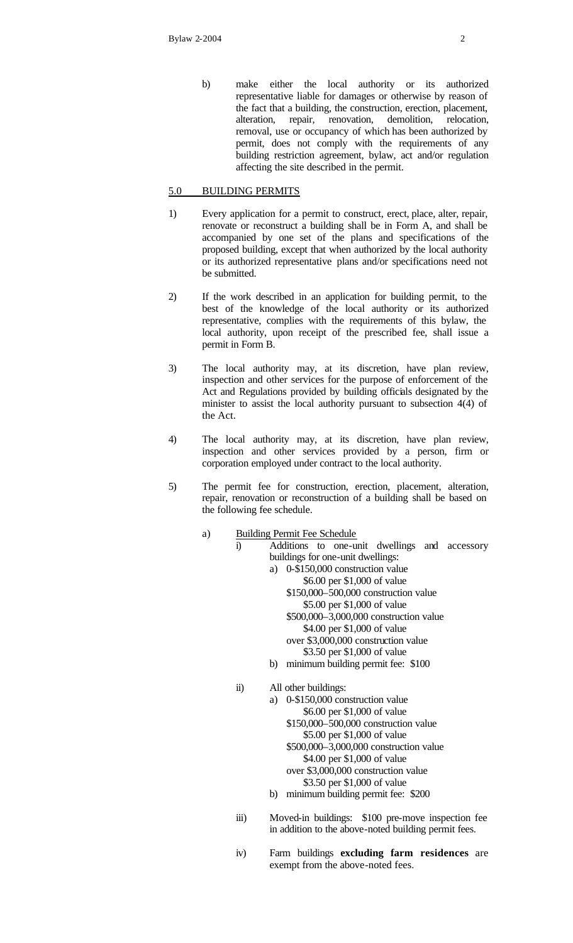b) make either the local authority or its authorized representative liable for damages or otherwise by reason of the fact that a building, the construction, erection, placement, alteration, repair, renovation, demolition, relocation, alteration, repair, renovation, removal, use or occupancy of which has been authorized by permit, does not comply with the requirements of any building restriction agreement, bylaw, act and/or regulation affecting the site described in the permit.

# 5.0 BUILDING PERMITS

- 1) Every application for a permit to construct, erect, place, alter, repair, renovate or reconstruct a building shall be in Form A, and shall be accompanied by one set of the plans and specifications of the proposed building, except that when authorized by the local authority or its authorized representative plans and/or specifications need not be submitted.
- 2) If the work described in an application for building permit, to the best of the knowledge of the local authority or its authorized representative, complies with the requirements of this bylaw, the local authority, upon receipt of the prescribed fee, shall issue a permit in Form B.
- 3) The local authority may, at its discretion, have plan review, inspection and other services for the purpose of enforcement of the Act and Regulations provided by building officials designated by the minister to assist the local authority pursuant to subsection 4(4) of the Act.
- 4) The local authority may, at its discretion, have plan review, inspection and other services provided by a person, firm or corporation employed under contract to the local authority.
- 5) The permit fee for construction, erection, placement, alteration, repair, renovation or reconstruction of a building shall be based on the following fee schedule.
	- a) Building Permit Fee Schedule
		- i) Additions to one-unit dwellings and accessory buildings for one-unit dwellings: a) 0-\$150,000 construction value
			- \$6.00 per \$1,000 of value \$150,000–500,000 construction value \$5.00 per \$1,000 of value \$500,000–3,000,000 construction value \$4.00 per \$1,000 of value over \$3,000,000 construction value \$3.50 per \$1,000 of value
			- b) minimum building permit fee: \$100
		- ii) All other buildings:
			- a) 0-\$150,000 construction value \$6.00 per \$1,000 of value \$150,000–500,000 construction value \$5.00 per \$1,000 of value \$500,000–3,000,000 construction value \$4.00 per \$1,000 of value over \$3,000,000 construction value \$3.50 per \$1,000 of value b) minimum building permit fee: \$200
		- iii) Moved-in buildings: \$100 pre-move inspection fee in addition to the above-noted building permit fees.
		- iv) Farm buildings **excluding farm residences** are exempt from the above-noted fees.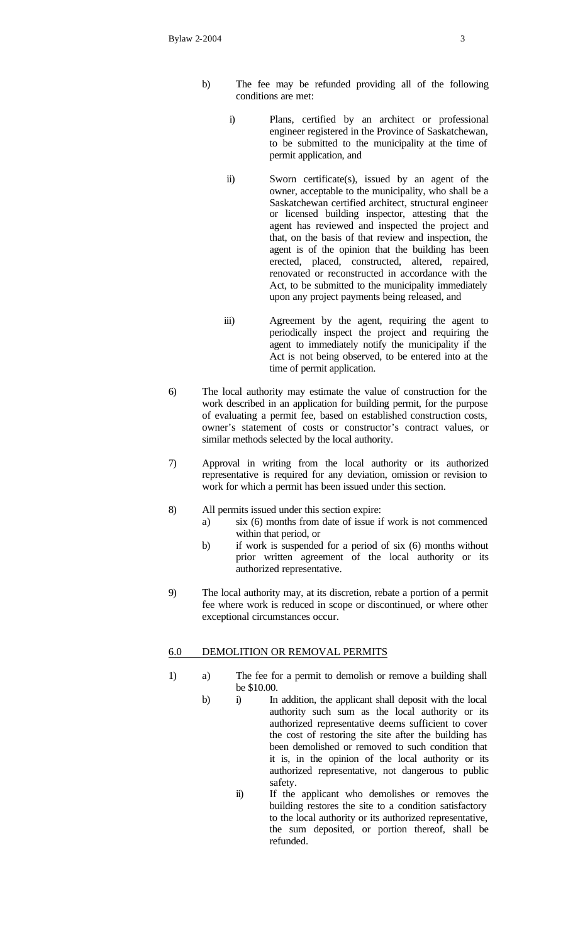- b) The fee may be refunded providing all of the following conditions are met:
	- i) Plans, certified by an architect or professional engineer registered in the Province of Saskatchewan, to be submitted to the municipality at the time of permit application, and
	- ii) Sworn certificate(s), issued by an agent of the owner, acceptable to the municipality, who shall be a Saskatchewan certified architect, structural engineer or licensed building inspector, attesting that the agent has reviewed and inspected the project and that, on the basis of that review and inspection, the agent is of the opinion that the building has been erected, placed, constructed, altered, repaired, renovated or reconstructed in accordance with the Act, to be submitted to the municipality immediately upon any project payments being released, and
	- iii) Agreement by the agent, requiring the agent to periodically inspect the project and requiring the agent to immediately notify the municipality if the Act is not being observed, to be entered into at the time of permit application.
- 6) The local authority may estimate the value of construction for the work described in an application for building permit, for the purpose of evaluating a permit fee, based on established construction costs, owner's statement of costs or constructor's contract values, or similar methods selected by the local authority.
- 7) Approval in writing from the local authority or its authorized representative is required for any deviation, omission or revision to work for which a permit has been issued under this section.
- 8) All permits issued under this section expire:
	- a)  $\sin(6)$  months from date of issue if work is not commenced within that period, or
	- b) if work is suspended for a period of six (6) months without prior written agreement of the local authority or its authorized representative.
- 9) The local authority may, at its discretion, rebate a portion of a permit fee where work is reduced in scope or discontinued, or where other exceptional circumstances occur.

## 6.0 DEMOLITION OR REMOVAL PERMITS

- 1) a) The fee for a permit to demolish or remove a building shall be \$10.00.
	- b) i) In addition, the applicant shall deposit with the local authority such sum as the local authority or its authorized representative deems sufficient to cover the cost of restoring the site after the building has been demolished or removed to such condition that it is, in the opinion of the local authority or its authorized representative, not dangerous to public safety.
		- ii) If the applicant who demolishes or removes the building restores the site to a condition satisfactory to the local authority or its authorized representative, the sum deposited, or portion thereof, shall be refunded.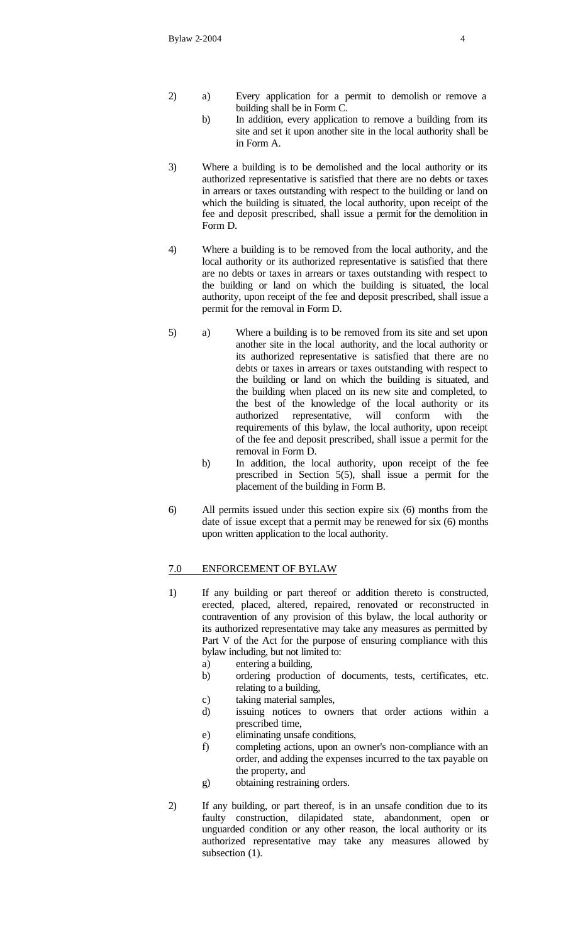- 2) a) Every application for a permit to demolish or remove a building shall be in Form C.
	- b) In addition, every application to remove a building from its site and set it upon another site in the local authority shall be in Form A.
- 3) Where a building is to be demolished and the local authority or its authorized representative is satisfied that there are no debts or taxes in arrears or taxes outstanding with respect to the building or land on which the building is situated, the local authority, upon receipt of the fee and deposit prescribed, shall issue a permit for the demolition in Form D.
- 4) Where a building is to be removed from the local authority, and the local authority or its authorized representative is satisfied that there are no debts or taxes in arrears or taxes outstanding with respect to the building or land on which the building is situated, the local authority, upon receipt of the fee and deposit prescribed, shall issue a permit for the removal in Form D.
- 5) a) Where a building is to be removed from its site and set upon another site in the local authority, and the local authority or its authorized representative is satisfied that there are no debts or taxes in arrears or taxes outstanding with respect to the building or land on which the building is situated, and the building when placed on its new site and completed, to the best of the knowledge of the local authority or its authorized representative, will conform with the requirements of this bylaw, the local authority, upon receipt of the fee and deposit prescribed, shall issue a permit for the removal in Form D.
	- b) In addition, the local authority, upon receipt of the fee prescribed in Section 5(5), shall issue a permit for the placement of the building in Form B.
- 6) All permits issued under this section expire six (6) months from the date of issue except that a permit may be renewed for six (6) months upon written application to the local authority.

## 7.0 ENFORCEMENT OF BYLAW

- 1) If any building or part thereof or addition thereto is constructed, erected, placed, altered, repaired, renovated or reconstructed in contravention of any provision of this bylaw, the local authority or its authorized representative may take any measures as permitted by Part V of the Act for the purpose of ensuring compliance with this bylaw including, but not limited to:
	- a) entering a building,
	- b) ordering production of documents, tests, certificates, etc. relating to a building,
	- c) taking material samples,
	- d) issuing notices to owners that order actions within a prescribed time,
	- e) eliminating unsafe conditions,
	- f) completing actions, upon an owner's non-compliance with an order, and adding the expenses incurred to the tax payable on the property, and
	- g) obtaining restraining orders.
- 2) If any building, or part thereof, is in an unsafe condition due to its faulty construction, dilapidated state, abandonment, open or unguarded condition or any other reason, the local authority or its authorized representative may take any measures allowed by subsection  $(1)$ .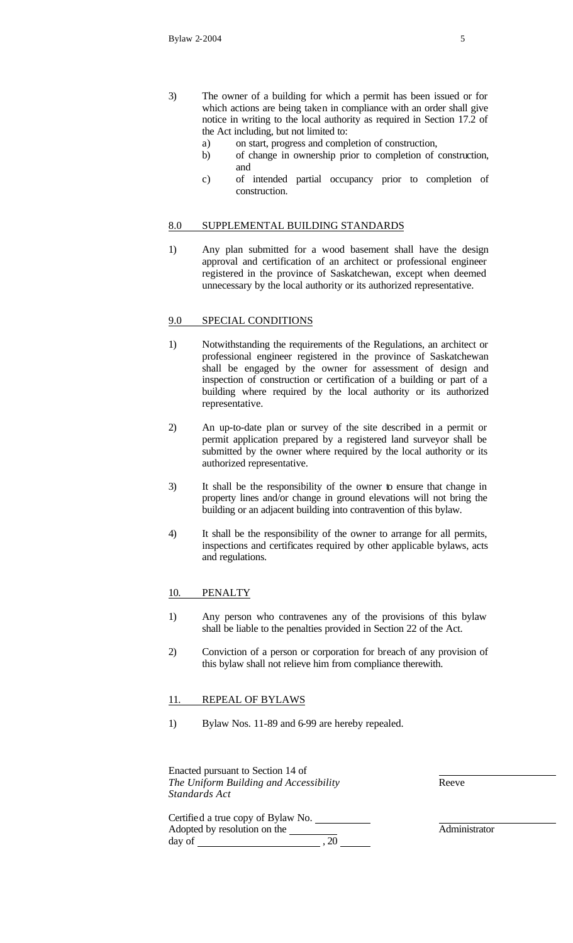- 3) The owner of a building for which a permit has been issued or for which actions are being taken in compliance with an order shall give notice in writing to the local authority as required in Section 17.2 of the Act including, but not limited to:
	- a) on start, progress and completion of construction,
	- b) of change in ownership prior to completion of construction, and
	- c) of intended partial occupancy prior to completion of construction.

#### 8.0 SUPPLEMENTAL BUILDING STANDARDS

1) Any plan submitted for a wood basement shall have the design approval and certification of an architect or professional engineer registered in the province of Saskatchewan, except when deemed unnecessary by the local authority or its authorized representative.

#### 9.0 SPECIAL CONDITIONS

- 1) Notwithstanding the requirements of the Regulations, an architect or professional engineer registered in the province of Saskatchewan shall be engaged by the owner for assessment of design and inspection of construction or certification of a building or part of a building where required by the local authority or its authorized representative.
- 2) An up-to-date plan or survey of the site described in a permit or permit application prepared by a registered land surveyor shall be submitted by the owner where required by the local authority or its authorized representative.
- 3) It shall be the responsibility of the owner to ensure that change in property lines and/or change in ground elevations will not bring the building or an adjacent building into contravention of this bylaw.
- 4) It shall be the responsibility of the owner to arrange for all permits, inspections and certificates required by other applicable bylaws, acts and regulations.

#### 10. PENALTY

- 1) Any person who contravenes any of the provisions of this bylaw shall be liable to the penalties provided in Section 22 of the Act.
- 2) Conviction of a person or corporation for breach of any provision of this bylaw shall not relieve him from compliance therewith.

#### 11. REPEAL OF BYLAWS

1) Bylaw Nos. 11-89 and 6-99 are hereby repealed.

Enacted pursuant to Section 14 of *The Uniform Building and Accessibility Standards Act*

day of  $, 20$ 

Certified a true copy of Bylaw No. Adopted by resolution on the

Reeve

Administrator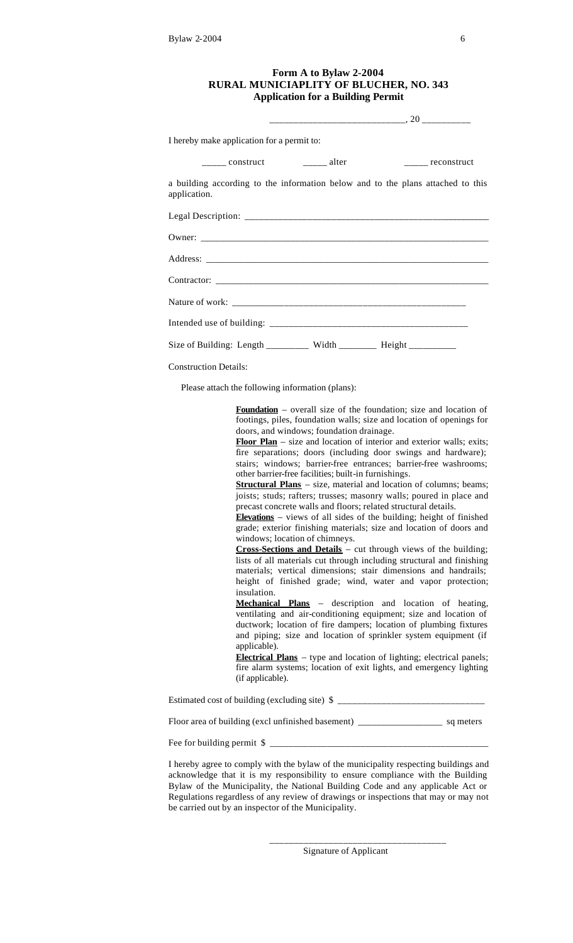## **Form A to Bylaw 2-2004 RURAL MUNICIAPLITY OF BLUCHER, NO. 343 Application for a Building Permit**

| I hereby make application for a permit to:                                                                                                                                                                                                                                                                                                                                                                                        |  |  |
|-----------------------------------------------------------------------------------------------------------------------------------------------------------------------------------------------------------------------------------------------------------------------------------------------------------------------------------------------------------------------------------------------------------------------------------|--|--|
| $\frac{1}{\sqrt{1-\frac{1}{\sqrt{1-\frac{1}{\sqrt{1-\frac{1}{\sqrt{1-\frac{1}{\sqrt{1-\frac{1}{\sqrt{1-\frac{1}{\sqrt{1-\frac{1}{\sqrt{1-\frac{1}{\sqrt{1-\frac{1}{\sqrt{1-\frac{1}{\sqrt{1-\frac{1}{\sqrt{1-\frac{1}{\sqrt{1-\frac{1}{\sqrt{1-\frac{1}{\sqrt{1-\frac{1}{\sqrt{1-\frac{1}{\sqrt{1-\frac{1}{\sqrt{1-\frac{1}{\sqrt{1-\frac{1}{\sqrt{1-\frac{1}{\sqrt{1-\frac{1}{\sqrt{1-\frac{1}{\sqrt{1-\frac{1}{\sqrt{1-\frac{1$ |  |  |
| a building according to the information below and to the plans attached to this<br>application.                                                                                                                                                                                                                                                                                                                                   |  |  |
|                                                                                                                                                                                                                                                                                                                                                                                                                                   |  |  |
|                                                                                                                                                                                                                                                                                                                                                                                                                                   |  |  |
|                                                                                                                                                                                                                                                                                                                                                                                                                                   |  |  |
|                                                                                                                                                                                                                                                                                                                                                                                                                                   |  |  |
|                                                                                                                                                                                                                                                                                                                                                                                                                                   |  |  |
|                                                                                                                                                                                                                                                                                                                                                                                                                                   |  |  |
| Size of Building: Length ________ Width _______ Height _________                                                                                                                                                                                                                                                                                                                                                                  |  |  |
| <b>Construction Details:</b>                                                                                                                                                                                                                                                                                                                                                                                                      |  |  |

Please attach the following information (plans):

**Foundation** – overall size of the foundation; size and location of footings, piles, foundation walls; size and location of openings for doors, and windows; foundation drainage.

**Floor Plan** – size and location of interior and exterior walls; exits; fire separations; doors (including door swings and hardware); stairs; windows; barrier-free entrances; barrier-free washrooms; other barrier-free facilities; built-in furnishings.

**Structural Plans** – size, material and location of columns; beams; joists; studs; rafters; trusses; masonry walls; poured in place and precast concrete walls and floors; related structural details.

**Elevations** – views of all sides of the building; height of finished grade; exterior finishing materials; size and location of doors and windows; location of chimneys.

**Cross-Sections and Details** – cut through views of the building; lists of all materials cut through including structural and finishing materials; vertical dimensions; stair dimensions and handrails; height of finished grade; wind, water and vapor protection; insulation.

**Mechanical Plans** – description and location of heating, ventilating and air-conditioning equipment; size and location of ductwork; location of fire dampers; location of plumbing fixtures and piping; size and location of sprinkler system equipment (if applicable).

**Electrical Plans** – type and location of lighting; electrical panels; fire alarm systems; location of exit lights, and emergency lighting (if applicable).

Estimated cost of building (excluding site)  $\frac{1}{2}$ 

Floor area of building (excl unfinished basement) \_\_\_\_\_\_\_\_\_\_\_\_\_\_\_\_\_\_\_\_\_\_\_ sq meters

Fee for building permit \$

I hereby agree to comply with the bylaw of the municipality respecting buildings and acknowledge that it is my responsibility to ensure compliance with the Building Bylaw of the Municipality, the National Building Code and any applicable Act or Regulations regardless of any review of drawings or inspections that may or may not be carried out by an inspector of the Municipality.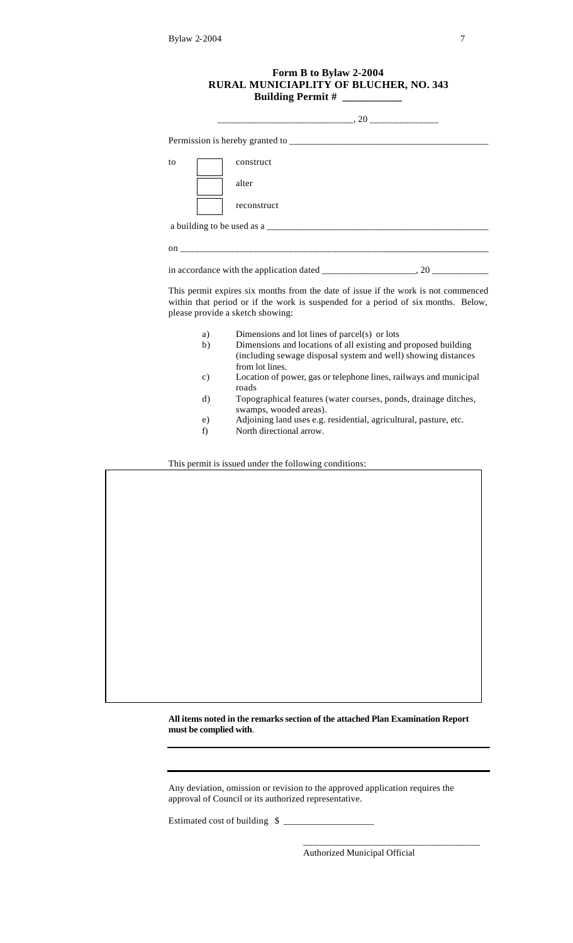| Form B to Bylaw 2-2004<br><b>RURAL MUNICIAPLITY OF BLUCHER, NO. 343</b> |                                                                                                                                                                                                             |  |  |  |
|-------------------------------------------------------------------------|-------------------------------------------------------------------------------------------------------------------------------------------------------------------------------------------------------------|--|--|--|
|                                                                         |                                                                                                                                                                                                             |  |  |  |
|                                                                         |                                                                                                                                                                                                             |  |  |  |
| to                                                                      | construct                                                                                                                                                                                                   |  |  |  |
|                                                                         | alter                                                                                                                                                                                                       |  |  |  |
|                                                                         | reconstruct                                                                                                                                                                                                 |  |  |  |
|                                                                         |                                                                                                                                                                                                             |  |  |  |
|                                                                         |                                                                                                                                                                                                             |  |  |  |
|                                                                         |                                                                                                                                                                                                             |  |  |  |
|                                                                         | This permit expires six months from the date of issue if the work is not commenced<br>within that period or if the work is suspended for a period of six months. Below,<br>please provide a sketch showing: |  |  |  |
| a)<br>b)                                                                | Dimensions and lot lines of parcel(s) or lots<br>Dimensions and locations of all existing and proposed building<br>(including sewage disposal system and well) showing distances<br>from lot lines.         |  |  |  |

- c) Location of power, gas or telephone lines, railways and municipal roads
- d) Topographical features (water courses, ponds, drainage ditches, swamps, wooded areas).
- e) Adjoining land uses e.g. residential, agricultural, pasture, etc.
- f) North directional arrow.

This permit is issued under the following conditions:

**All items noted in the remarks section of the attached Plan Examination Report must be complied with**.

Any deviation, omission or revision to the approved application requires the approval of Council or its authorized representative.

Estimated cost of building  $\frac{1}{2}$ 

Authorized Municipal Official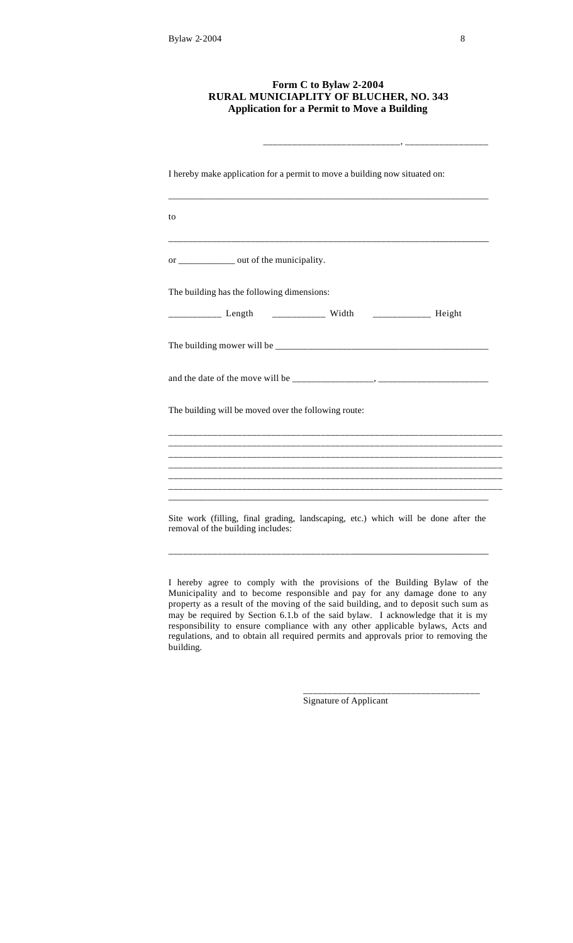## **Form C to Bylaw 2-2004 RURAL MUNICIAPLITY OF BLUCHER, NO. 343 Application for a Permit to Move a Building**

\_\_\_\_\_\_\_\_\_\_\_\_\_\_\_\_\_\_\_\_\_\_\_\_\_\_\_\_, \_\_\_\_\_\_\_\_\_\_\_\_\_\_\_\_\_

| I hereby make application for a permit to move a building now situated on:                                              |
|-------------------------------------------------------------------------------------------------------------------------|
| to                                                                                                                      |
| or ____________ out of the municipality.                                                                                |
| The building has the following dimensions:                                                                              |
| _____________ Length ______________ Width _______________ Height                                                        |
|                                                                                                                         |
|                                                                                                                         |
| The building will be moved over the following route:                                                                    |
|                                                                                                                         |
| ,我们也不会有什么。""我们的人,我们也不会有什么?""我们的人,我们也不会有什么?""我们的人,我们也不会有什么?""我们的人,我们也不会有什么?""我们的人                                        |
|                                                                                                                         |
| Site work (filling, final grading, landscaping, etc.) which will be done after the<br>removal of the building includes: |

I hereby agree to comply with the provisions of the Building Bylaw of the Municipality and to become responsible and pay for any damage done to any property as a result of the moving of the said building, and to deposit such sum as may be required by Section 6.1.b of the said bylaw. I acknowledge that it is my responsibility to ensure compliance with any other applicable bylaws, Acts and regulations, and to obtain all required permits and approvals prior to removing the building.

Signature of Applicant